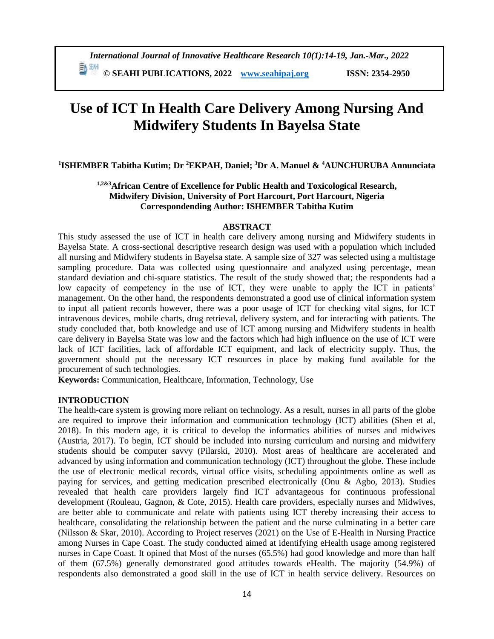# **Use of ICT In Health Care Delivery Among Nursing And Midwifery Students In Bayelsa State**

**1 ISHEMBER Tabitha Kutim; Dr <sup>2</sup>EKPAH, Daniel; <sup>3</sup>Dr A. Manuel & <sup>4</sup>AUNCHURUBA Annunciata**

# **1,2&3African Centre of Excellence for Public Health and Toxicological Research, Midwifery Division, University of Port Harcourt, Port Harcourt, Nigeria Correspondending Author: ISHEMBER Tabitha Kutim**

#### **ABSTRACT**

This study assessed the use of ICT in health care delivery among nursing and Midwifery students in Bayelsa State. A cross-sectional descriptive research design was used with a population which included all nursing and Midwifery students in Bayelsa state. A sample size of 327 was selected using a multistage sampling procedure. Data was collected using questionnaire and analyzed using percentage, mean standard deviation and chi-square statistics. The result of the study showed that; the respondents had a low capacity of competency in the use of ICT, they were unable to apply the ICT in patients' management. On the other hand, the respondents demonstrated a good use of clinical information system to input all patient records however, there was a poor usage of ICT for checking vital signs, for ICT intravenous devices, mobile charts, drug retrieval, delivery system, and for interacting with patients. The study concluded that, both knowledge and use of ICT among nursing and Midwifery students in health care delivery in Bayelsa State was low and the factors which had high influence on the use of ICT were lack of ICT facilities, lack of affordable ICT equipment, and lack of electricity supply. Thus, the government should put the necessary ICT resources in place by making fund available for the procurement of such technologies.

**Keywords:** Communication, Healthcare, Information, Technology, Use

# **INTRODUCTION**

The health-care system is growing more reliant on technology. As a result, nurses in all parts of the globe are required to improve their information and communication technology (ICT) abilities (Shen et al, 2018). In this modern age, it is critical to develop the informatics abilities of nurses and midwives (Austria, 2017). To begin, ICT should be included into nursing curriculum and nursing and midwifery students should be computer savvy (Pilarski, 2010). Most areas of healthcare are accelerated and advanced by using information and communication technology (ICT) throughout the globe. These include the use of electronic medical records, virtual office visits, scheduling appointments online as well as paying for services, and getting medication prescribed electronically (Onu & Agbo, 2013). Studies revealed that health care providers largely find ICT advantageous for continuous professional development (Rouleau, Gagnon, & Cote, 2015). Health care providers, especially nurses and Midwives, are better able to communicate and relate with patients using ICT thereby increasing their access to healthcare, consolidating the relationship between the patient and the nurse culminating in a better care (Nilsson & Skar, 2010). According to Project reserves (2021) on the Use of E-Health in Nursing Practice among Nurses in Cape Coast. The study conducted aimed at identifying eHealth usage among registered nurses in Cape Coast. It opined that Most of the nurses (65.5%) had good knowledge and more than half of them (67.5%) generally demonstrated good attitudes towards eHealth. The majority (54.9%) of respondents also demonstrated a good skill in the use of ICT in health service delivery. Resources on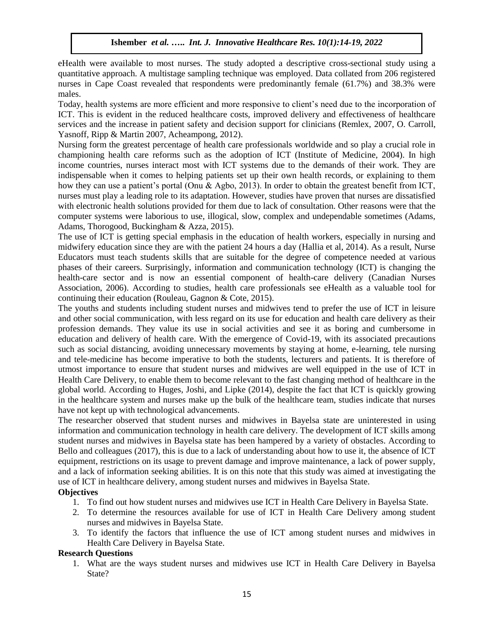eHealth were available to most nurses. The study adopted a descriptive cross-sectional study using a quantitative approach. A multistage sampling technique was employed. Data collated from 206 registered nurses in Cape Coast revealed that respondents were predominantly female (61.7%) and 38.3% were males.

Today, health systems are more efficient and more responsive to client's need due to the incorporation of ICT. This is evident in the reduced healthcare costs, improved delivery and effectiveness of healthcare services and the increase in patient safety and decision support for clinicians (Remlex, 2007, O. Carroll, Yasnoff, Ripp & Martin 2007, Acheampong, 2012).

Nursing form the greatest percentage of health care professionals worldwide and so play a crucial role in championing health care reforms such as the adoption of ICT (Institute of Medicine, 2004). In high income countries, nurses interact most with ICT systems due to the demands of their work. They are indispensable when it comes to helping patients set up their own health records, or explaining to them how they can use a patient's portal (Onu & Agbo, 2013). In order to obtain the greatest benefit from ICT, nurses must play a leading role to its adaptation. However, studies have proven that nurses are dissatisfied with electronic health solutions provided for them due to lack of consultation. Other reasons were that the computer systems were laborious to use, illogical, slow, complex and undependable sometimes (Adams, Adams, Thorogood, Buckingham & Azza, 2015).

The use of ICT is getting special emphasis in the education of health workers, especially in nursing and midwifery education since they are with the patient 24 hours a day (Hallia et al, 2014). As a result, Nurse Educators must teach students skills that are suitable for the degree of competence needed at various phases of their careers. Surprisingly, information and communication technology (ICT) is changing the health-care sector and is now an essential component of health-care delivery (Canadian Nurses Association, 2006). According to studies, health care professionals see eHealth as a valuable tool for continuing their education (Rouleau, Gagnon & Cote, 2015).

The youths and students including student nurses and midwives tend to prefer the use of ICT in leisure and other social communication, with less regard on its use for education and health care delivery as their profession demands. They value its use in social activities and see it as boring and cumbersome in education and delivery of health care. With the emergence of Covid-19, with its associated precautions such as social distancing, avoiding unnecessary movements by staying at home, e-learning, tele nursing and tele-medicine has become imperative to both the students, lecturers and patients. It is therefore of utmost importance to ensure that student nurses and midwives are well equipped in the use of ICT in Health Care Delivery, to enable them to become relevant to the fast changing method of healthcare in the global world. According to Huges, Joshi, and Lipke (2014), despite the fact that ICT is quickly growing in the healthcare system and nurses make up the bulk of the healthcare team, studies indicate that nurses have not kept up with technological advancements.

The researcher observed that student nurses and midwives in Bayelsa state are uninterested in using information and communication technology in health care delivery. The development of ICT skills among student nurses and midwives in Bayelsa state has been hampered by a variety of obstacles. According to Bello and colleagues (2017), this is due to a lack of understanding about how to use it, the absence of ICT equipment, restrictions on its usage to prevent damage and improve maintenance, a lack of power supply, and a lack of information seeking abilities. It is on this note that this study was aimed at investigating the use of ICT in healthcare delivery, among student nurses and midwives in Bayelsa State.

# **Objectives**

- 1. To find out how student nurses and midwives use ICT in Health Care Delivery in Bayelsa State.
- 2. To determine the resources available for use of ICT in Health Care Delivery among student nurses and midwives in Bayelsa State.
- 3. To identify the factors that influence the use of ICT among student nurses and midwives in Health Care Delivery in Bayelsa State.

#### **Research Questions**

1. What are the ways student nurses and midwives use ICT in Health Care Delivery in Bayelsa State?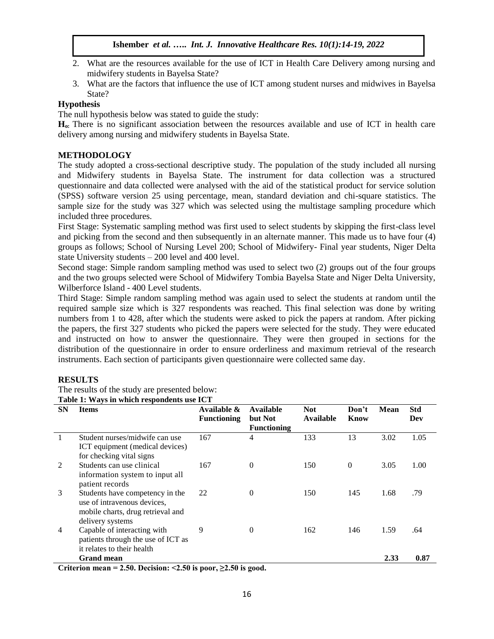- 2. What are the resources available for the use of ICT in Health Care Delivery among nursing and midwifery students in Bayelsa State?
- 3. What are the factors that influence the use of ICT among student nurses and midwives in Bayelsa State?

# **Hypothesis**

The null hypothesis below was stated to guide the study:

**Ho:** There is no significant association between the resources available and use of ICT in health care delivery among nursing and midwifery students in Bayelsa State.

# **METHODOLOGY**

The study adopted a cross-sectional descriptive study. The population of the study included all nursing and Midwifery students in Bayelsa State. The instrument for data collection was a structured questionnaire and data collected were analysed with the aid of the statistical product for service solution (SPSS) software version 25 using percentage, mean, standard deviation and chi-square statistics. The sample size for the study was 327 which was selected using the multistage sampling procedure which included three procedures.

First Stage: Systematic sampling method was first used to select students by skipping the first-class level and picking from the second and then subsequently in an alternate manner. This made us to have four (4) groups as follows; School of Nursing Level 200; School of Midwifery- Final year students, Niger Delta state University students – 200 level and 400 level.

Second stage: Simple random sampling method was used to select two (2) groups out of the four groups and the two groups selected were School of Midwifery Tombia Bayelsa State and Niger Delta University, Wilberforce Island - 400 Level students.

Third Stage: Simple random sampling method was again used to select the students at random until the required sample size which is 327 respondents was reached. This final selection was done by writing numbers from 1 to 428, after which the students were asked to pick the papers at random. After picking the papers, the first 327 students who picked the papers were selected for the study. They were educated and instructed on how to answer the questionnaire. They were then grouped in sections for the distribution of the questionnaire in order to ensure orderliness and maximum retrieval of the research instruments. Each section of participants given questionnaire were collected same day.

# **RESULTS**

The results of the study are presented below: **Table 1: Ways in which respondents use ICT** 

|           | Table 1. Ways in which respondents use TCT                                                                              |                                   |                                                   |                                |               |             |                   |  |  |
|-----------|-------------------------------------------------------------------------------------------------------------------------|-----------------------------------|---------------------------------------------------|--------------------------------|---------------|-------------|-------------------|--|--|
| <b>SN</b> | <b>Items</b>                                                                                                            | Available &<br><b>Functioning</b> | <b>Available</b><br>but Not<br><b>Functioning</b> | <b>Not</b><br><b>Available</b> | Don't<br>Know | <b>Mean</b> | <b>Std</b><br>Dev |  |  |
|           | Student nurses/midwife can use<br>ICT equipment (medical devices)<br>for checking vital signs                           | 167                               | 4                                                 | 133                            | 13            | 3.02        | 1.05              |  |  |
| 2         | Students can use clinical<br>information system to input all<br>patient records                                         | 167                               | 0                                                 | 150                            | $\theta$      | 3.05        | 1.00              |  |  |
| 3         | Students have competency in the<br>use of intravenous devices,<br>mobile charts, drug retrieval and<br>delivery systems | 22                                | $\overline{0}$                                    | 150                            | 145           | 1.68        | .79               |  |  |
| 4         | Capable of interacting with<br>patients through the use of ICT as<br>it relates to their health                         | 9                                 | $\theta$                                          | 162                            | 146           | 1.59        | .64               |  |  |
|           | <b>Grand mean</b>                                                                                                       |                                   |                                                   |                                |               | 2.33        | 0.87              |  |  |
|           | $0.41$ $0.50$ D. $0.701$ $0.50$ $0.701$ $0.7$                                                                           |                                   |                                                   |                                |               |             |                   |  |  |

**Criterion mean = 2.50. Decision: <2.50 is poor, ≥2.50 is good.**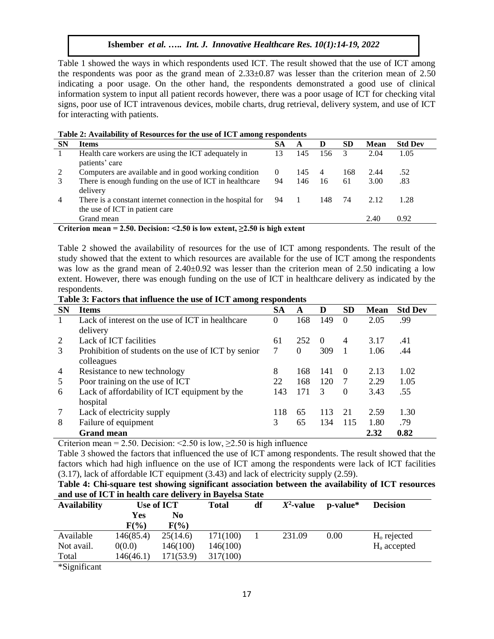Table 1 showed the ways in which respondents used ICT. The result showed that the use of ICT among the respondents was poor as the grand mean of 2.33±0.87 was lesser than the criterion mean of 2.50 indicating a poor usage. On the other hand, the respondents demonstrated a good use of clinical information system to input all patient records however, there was a poor usage of ICT for checking vital signs, poor use of ICT intravenous devices, mobile charts, drug retrieval, delivery system, and use of ICT for interacting with patients.

|  | Table 2: Availability of Resources for the use of ICT among respondents |  |
|--|-------------------------------------------------------------------------|--|
|--|-------------------------------------------------------------------------|--|

| <b>SN</b> | <b>Items</b>                                                | <b>SA</b> | A   | D              | <b>SD</b> | <b>Mean</b> | <b>Std Dev</b> |
|-----------|-------------------------------------------------------------|-----------|-----|----------------|-----------|-------------|----------------|
|           | Health care workers are using the ICT adequately in<br>13   |           | 145 | 156            |           | 2.04        | 1.05           |
|           | patients' care                                              |           |     |                |           |             |                |
| 2         | Computers are available and in good working condition       | $\Omega$  | 145 | $\overline{4}$ | 168       | 2.44        | .52            |
|           | There is enough funding on the use of ICT in healthcare     | 94        | 146 | 16             | 61        | 3.00        | .83            |
|           | delivery                                                    |           |     |                |           |             |                |
| 4         | There is a constant internet connection in the hospital for | -94       |     | 148            | 74        | 2.12        | 1.28           |
|           | the use of ICT in patient care                              |           |     |                |           |             |                |
|           | Grand mean                                                  |           |     |                |           | 2.40        | 0.92           |

**Criterion mean = 2.50. Decision: <2.50 is low extent, ≥2.50 is high extent**

Table 2 showed the availability of resources for the use of ICT among respondents. The result of the study showed that the extent to which resources are available for the use of ICT among the respondents was low as the grand mean of  $2.40\pm0.92$  was lesser than the criterion mean of 2.50 indicating a low extent. However, there was enough funding on the use of ICT in healthcare delivery as indicated by the respondents.

**Table 3: Factors that influence the use of ICT among respondents**

| <b>SN</b> | $\sim$<br><b>Items</b>                              | <b>SA</b> | A        | D        | <b>SD</b>        | <b>Mean</b> | <b>Std Dev</b> |
|-----------|-----------------------------------------------------|-----------|----------|----------|------------------|-------------|----------------|
|           | Lack of interest on the use of ICT in healthcare    | 0         | 168      | 149      | $\theta$         | 2.05        | .99            |
|           | delivery                                            |           |          |          |                  |             |                |
| 2         | Lack of ICT facilities                              | 61        | 252      | $\Omega$ | $\overline{4}$   | 3.17        | .41            |
| 3         | Prohibition of students on the use of ICT by senior | 7         | $\theta$ | 309      |                  | 1.06        | .44            |
|           | colleagues                                          |           |          |          |                  |             |                |
| 4         | Resistance to new technology                        | 8         | 168      | 141      | $\left( \right)$ | 2.13        | 1.02           |
| 5         | Poor training on the use of ICT                     | 22        | 168      | 120      |                  | 2.29        | 1.05           |
| 6         | Lack of affordability of ICT equipment by the       | 143       | 171      | 3        | $\theta$         | 3.43        | .55            |
|           | hospital                                            |           |          |          |                  |             |                |
|           | Lack of electricity supply                          | 118       | 65       | 113      | 21               | 2.59        | 1.30           |
| 8         | Failure of equipment                                | 3         | 65       | 134      | 115              | 1.80        | .79            |
|           | <b>Grand mean</b>                                   |           |          |          |                  | 2.32        | 0.82           |

Criterion mean = 2.50. Decision: <2.50 is low,  $\geq$ 2.50 is high influence

Table 3 showed the factors that influenced the use of ICT among respondents. The result showed that the factors which had high influence on the use of ICT among the respondents were lack of ICT facilities (3.17), lack of affordable ICT equipment (3.43) and lack of electricity supply (2.59).

| Table 4: Chi-square test showing significant association between the availability of ICT resources |  |  |
|----------------------------------------------------------------------------------------------------|--|--|
| and use of ICT in health care delivery in Bayelsa State                                            |  |  |

| <b>Availability</b>                                 | Use of ICT |           | <b>Total</b> | df | $X^2$ -value | p-value* | <b>Decision</b> |  |
|-----------------------------------------------------|------------|-----------|--------------|----|--------------|----------|-----------------|--|
|                                                     | Yes        | No        |              |    |              |          |                 |  |
|                                                     | $F(\%)$    | $F(\%)$   |              |    |              |          |                 |  |
| Available                                           | 146(85.4)  | 25(14.6)  | 171(100)     |    | 231.09       | 0.00     | $Ho$ rejected   |  |
| Not avail.                                          | 0(0.0)     | 146(100)  | 146(100)     |    |              |          | $Ha$ accepted   |  |
| Total                                               | 146(46.1)  | 171(53.9) | 317(100)     |    |              |          |                 |  |
| $\star$ C $\cdot$ $\cdot$ C $\cdot$ $\cdot$ $\cdot$ |            |           |              |    |              |          |                 |  |

\*Significant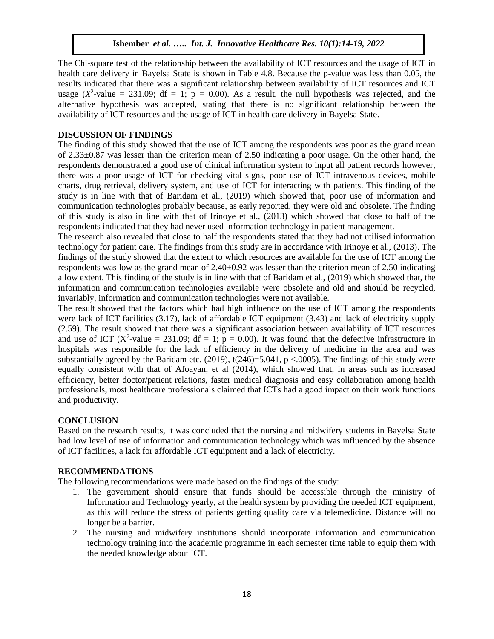The Chi-square test of the relationship between the availability of ICT resources and the usage of ICT in health care delivery in Bayelsa State is shown in Table 4.8. Because the p-value was less than 0.05, the results indicated that there was a significant relationship between availability of ICT resources and ICT usage  $(X^2$ -value = 231.09; df = 1; p = 0.00). As a result, the null hypothesis was rejected, and the alternative hypothesis was accepted, stating that there is no significant relationship between the availability of ICT resources and the usage of ICT in health care delivery in Bayelsa State.

# **DISCUSSION OF FINDINGS**

The finding of this study showed that the use of ICT among the respondents was poor as the grand mean of 2.33±0.87 was lesser than the criterion mean of 2.50 indicating a poor usage. On the other hand, the respondents demonstrated a good use of clinical information system to input all patient records however, there was a poor usage of ICT for checking vital signs, poor use of ICT intravenous devices, mobile charts, drug retrieval, delivery system, and use of ICT for interacting with patients. This finding of the study is in line with that of Baridam et al., (2019) which showed that, poor use of information and communication technologies probably because, as early reported, they were old and obsolete. The finding of this study is also in line with that of Irinoye et al., (2013) which showed that close to half of the respondents indicated that they had never used information technology in patient management.

The research also revealed that close to half the respondents stated that they had not utilised information technology for patient care. The findings from this study are in accordance with Irinoye et al., (2013). The findings of the study showed that the extent to which resources are available for the use of ICT among the respondents was low as the grand mean of  $2.40\pm0.92$  was lesser than the criterion mean of 2.50 indicating a low extent. This finding of the study is in line with that of Baridam et al., (2019) which showed that, the information and communication technologies available were obsolete and old and should be recycled, invariably, information and communication technologies were not available.

The result showed that the factors which had high influence on the use of ICT among the respondents were lack of ICT facilities (3.17), lack of affordable ICT equipment (3.43) and lack of electricity supply (2.59). The result showed that there was a significant association between availability of ICT resources and use of ICT ( $X^2$ -value = 231.09; df = 1; p = 0.00). It was found that the defective infrastructure in hospitals was responsible for the lack of efficiency in the delivery of medicine in the area and was substantially agreed by the Baridam etc. (2019),  $t(246)=5.041$ ,  $p < .0005$ ). The findings of this study were equally consistent with that of Afoayan, et al (2014), which showed that, in areas such as increased efficiency, better doctor/patient relations, faster medical diagnosis and easy collaboration among health professionals, most healthcare professionals claimed that ICTs had a good impact on their work functions and productivity.

# **CONCLUSION**

Based on the research results, it was concluded that the nursing and midwifery students in Bayelsa State had low level of use of information and communication technology which was influenced by the absence of ICT facilities, a lack for affordable ICT equipment and a lack of electricity.

# **RECOMMENDATIONS**

The following recommendations were made based on the findings of the study:

- 1. The government should ensure that funds should be accessible through the ministry of Information and Technology yearly, at the health system by providing the needed ICT equipment, as this will reduce the stress of patients getting quality care via telemedicine. Distance will no longer be a barrier.
- 2. The nursing and midwifery institutions should incorporate information and communication technology training into the academic programme in each semester time table to equip them with the needed knowledge about ICT.